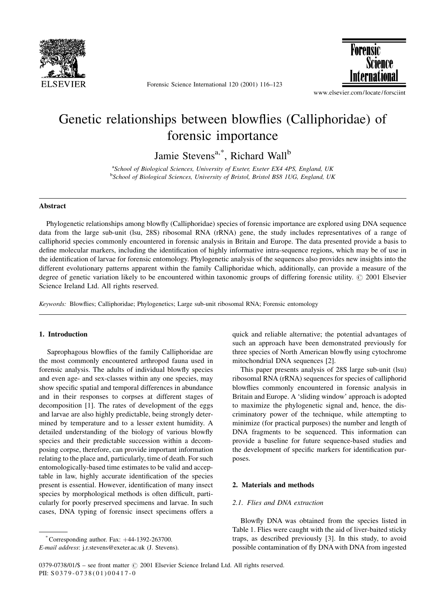

Forensic Science International 120 (2001) 116-123



www.elsevier.com/locate/forsciint

# Genetic relationships between blowflies (Calliphoridae) of forensic importance

Jamie Stevens<sup>a,\*</sup>, Richard Wall<sup>b</sup>

<sup>a</sup>School of Biological Sciences, University of Exeter, Exeter EX4 4PS, England, UK <sup>b</sup>School of Biological Sciences, University of Bristol, Bristol BS8 1UG, England, UK

#### Abstract

Phylogenetic relationships among blowfly (Calliphoridae) species of forensic importance are explored using DNA sequence data from the large sub-unit (lsu, 28S) ribosomal RNA (rRNA) gene, the study includes representatives of a range of calliphorid species commonly encountered in forensic analysis in Britain and Europe. The data presented provide a basis to define molecular markers, including the identification of highly informative intra-sequence regions, which may be of use in the identification of larvae for forensic entomology. Phylogenetic analysis of the sequences also provides new insights into the different evolutionary patterns apparent within the family Calliphoridae which, additionally, can provide a measure of the degree of genetic variation likely to be encountered within taxonomic groups of differing forensic utility. © 2001 Elsevier Science Ireland Ltd. All rights reserved.

Keywords: Blowflies; Calliphoridae; Phylogenetics; Large sub-unit ribosomal RNA; Forensic entomology

# 1. Introduction

Saprophagous blowflies of the family Calliphoridae are the most commonly encountered arthropod fauna used in forensic analysis. The adults of individual blowfly species and even age- and sex-classes within any one species, may show specific spatial and temporal differences in abundance and in their responses to corpses at different stages of decomposition [1]. The rates of development of the eggs and larvae are also highly predictable, being strongly determined by temperature and to a lesser extent humidity. A detailed understanding of the biology of various blowfly species and their predictable succession within a decomposing corpse, therefore, can provide important information relating to the place and, particularly, time of death. For such entomologically-based time estimates to be valid and acceptable in law, highly accurate identification of the species present is essential. However, identification of many insect species by morphological methods is often difficult, particularly for poorly preserved specimens and larvae. In such cases, DNA typing of forensic insect specimens offers a

quick and reliable alternative; the potential advantages of such an approach have been demonstrated previously for three species of North American blowfly using cytochrome mitochondrial DNA sequences [2].

This paper presents analysis of 28S large sub-unit (lsu) ribosomal RNA (rRNA) sequences for species of calliphorid blowflies commonly encountered in forensic analysis in Britain and Europe. A 'sliding window' approach is adopted to maximize the phylogenetic signal and, hence, the discriminatory power of the technique, while attempting to minimize (for practical purposes) the number and length of DNA fragments to be sequenced. This information can provide a baseline for future sequence-based studies and the development of specific markers for identification purposes.

## 2. Materials and methods

## 2.1. Flies and DNA extraction

Blowfly DNA was obtained from the species listed in Table 1. Flies were caught with the aid of liver-baited sticky traps, as described previously [3]. In this study, to avoid possible contamination of fly DNA with DNA from ingested

<sup>\*</sup> Corresponding author. Fax:  $+44-1392-263700$ .

E-mail address: j.r.stevens@exeter.ac.uk (J. Stevens).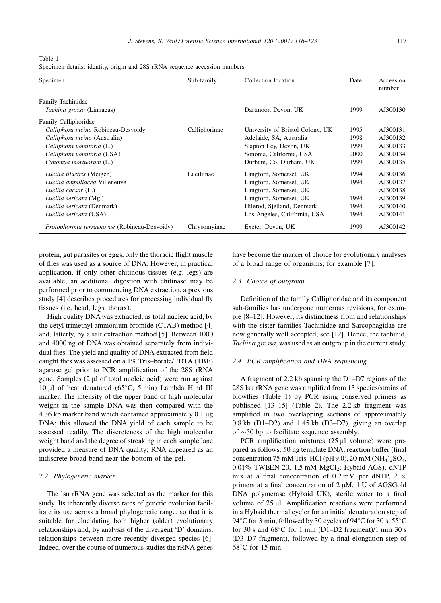Table 1

Specimen details: identity, origin and 28S rRNA sequence accession numbers

| Specimen                                     | Sub-family    | Collection location              | Date | Accession<br>number |  |
|----------------------------------------------|---------------|----------------------------------|------|---------------------|--|
| Family Tachinidae                            |               |                                  |      |                     |  |
| Tachina grossa (Linnaeus)                    |               | Dartmoor, Devon, UK              | 1999 | AJ300130            |  |
| Family Calliphoridae                         |               |                                  |      |                     |  |
| Calliphora vicina Robineau-Desvoidy          | Calliphorinae | University of Bristol Colony, UK | 1995 | AJ300131            |  |
| Calliphora vicina (Australia)                |               | Adelaide, SA, Australia          | 1998 | AJ300132            |  |
| Calliphora vomitoria (L.)                    |               | Slapton Ley, Devon, UK           | 1999 | AJ300133            |  |
| Calliphora vomitoria (USA)                   |               | Sonoma, California, USA          | 2000 | AJ300134            |  |
| Cynomya mortuorum (L.)                       |               | Durham, Co. Durham, UK           | 1999 | AJ300135            |  |
| Lucilia illustris (Meigen)                   | Luciliinae    | Langford, Somerset, UK           | 1994 | AJ300136            |  |
| Lucilia ampullacea Villeneuve                |               | Langford, Somerset, UK           | 1994 | AJ300137            |  |
| Lucilia caesar (L.)                          |               | Langford, Somerset, UK           |      | AJ300138            |  |
| Lucilia sericata (Mg.)                       |               | Langford, Somerset, UK           | 1994 | AJ300139            |  |
| Lucilia sericata (Denmark)                   |               | Hilerod, Sjelland, Denmark       | 1994 | AJ300140            |  |
| Lucilia sericata (USA)                       |               | Los Angeles, California, USA     | 1994 | AJ300141            |  |
| Protophormia terraenovae (Robineau-Desvoidy) | Chrysomyinae  | Exeter, Devon, UK                | 1999 | AJ300142            |  |

protein, gut parasites or eggs, only the thoracic flight muscle of flies was used as a source of DNA. However, in practical application, if only other chitinous tissues (e.g. legs) are available, an additional digestion with chitinase may be performed prior to commencing DNA extraction, a previous study [4] describes procedures for processing individual fly tissues (i.e. head, legs, thorax).

High quality DNA was extracted, as total nucleic acid, by the cetyl trimethyl ammonium bromide (CTAB) method [4] and, latterly, by a salt extraction method [5]. Between 1000 and 4000 ng of DNA was obtained separately from individual flies. The yield and quality of DNA extracted from field caught flies was assessed on a 1% Tris-borate/EDTA (TBE) agarose gel prior to PCR amplification of the 28S rRNA gene. Samples (2 µl of total nucleic acid) were run against 10 µl of heat denatured ( $65^{\circ}$ C, 5 min) Lambda Hind III marker. The intensity of the upper band of high molecular weight in the sample DNA was then compared with the 4.36 kb marker band which contained approximately 0.1 µg DNA; this allowed the DNA yield of each sample to be assessed readily. The discreteness of the high molecular weight band and the degree of streaking in each sample lane provided a measure of DNA quality; RNA appeared as an indiscrete broad band near the bottom of the gel.

## 2.2. Phylogenetic marker

The Isu rRNA gene was selected as the marker for this study. Its inherently diverse rates of genetic evolution facilitate its use across a broad phylogenetic range, so that it is suitable for elucidating both higher (older) evolutionary relationships and, by analysis of the divergent 'D' domains, relationships between more recently diverged species [6]. Indeed, over the course of numerous studies the rRNA genes have become the marker of choice for evolutionary analyses of a broad range of organisms, for example [7].

## 2.3. Choice of outgroup

Definition of the family Calliphoridae and its component sub-families has undergone numerous revisions, for example [8–12]. However, its distinctness from and relationships with the sister families Tachinidae and Sarcophagidae are now generally well accepted, see [12]. Hence, the tachinid, Tachina grossa, was used as an outgroup in the current study.

#### 2.4. PCR amplification and DNA sequencing

A fragment of 2.2 kb spanning the D1-D7 regions of the 28S Isu rRNA gene was amplified from 13 species/strains of blowflies (Table 1) by PCR using conserved primers as published [13-15] (Table 2). The 2.2 kb fragment was amplified in two overlapping sections of approximately  $0.8$  kb  $(D1-D2)$  and  $1.45$  kb  $(D3-D7)$ , giving an overlap of  $\sim$ 50 bp to facilitate sequence assembly.

PCR amplification mixtures (25 µl volume) were prepared as follows: 50 ng template DNA, reaction buffer (final concentration 75 mM Tris-HCl (pH 9.0), 20 mM (NH<sub>4</sub>)<sub>2</sub>SO<sub>4</sub>, 0.01% TWEEN-20, 1.5 mM MgCl<sub>2</sub>; Hybaid-AGS), dNTP mix at a final concentration of 0.2 mM per dNTP, 2  $\times$ primers at a final concentration of 2 µM, 1 U of AGSGold DNA polymerase (Hybaid UK), sterile water to a final volume of 25 µl. Amplification reactions were performed in a Hybaid thermal cycler for an initial denaturation step of 94°C for 3 min, followed by 30 cycles of 94°C for 30 s, 55°C for 30 s and  $68^{\circ}$ C for 1 min (D1-D2 fragment)/1 min 30 s (D3-D7 fragment), followed by a final elongation step of  $68^{\circ}$ C for 15 min.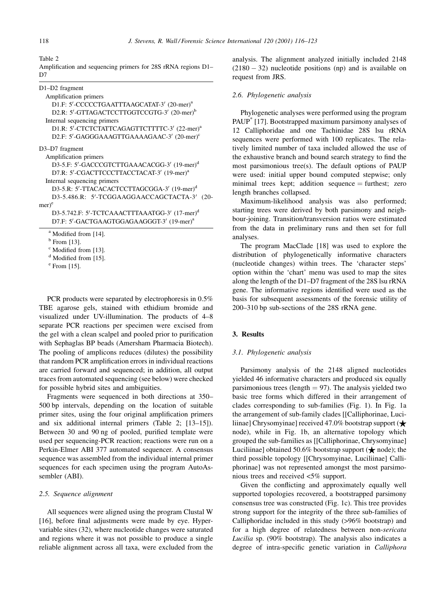Table 2

| Amplification and sequencing primers for 28S rRNA regions D1- |  |  |  |  |
|---------------------------------------------------------------|--|--|--|--|
| D7                                                            |  |  |  |  |

| $D1-D2$ fragment                                          |
|-----------------------------------------------------------|
| Amplification primers                                     |
| D1.F: 5'-CCCCCTGAATTTAAGCATAT-3' (20-mer) <sup>a</sup>    |
| D2.R: 5'-GTTAGACTCCTTGGTCCGTG-3' (20-mer) <sup>b</sup>    |
| Internal sequencing primers                               |
| D1.R: 5'-CTCTCTATTCAGAGTTCTTTTC-3' (22-mer) <sup>a</sup>  |
| D2.F: 5'-GAGGGAAAGTTGAAAAGAAC-3' (20-mer) <sup>c</sup>    |
| D3-D7 fragment                                            |
| Amplification primers                                     |
| D3-5.F: 5'-GACCCGTCTTGAAACACGG-3' (19-mer) <sup>d</sup>   |
| D7.R: 5'-CGACTTCCCTTACCTACAT-3' (19-mer) <sup>a</sup>     |
| Internal sequencing primers                               |
| D3-5.R: 5'-TTACACACTCCTTAGCGGA-3' (19-mer) <sup>d</sup>   |
| D3-5.486.R: 5'-TCGGAAGGAACCAGCTACTA-3' (20-               |
| $mer)$ <sup>e</sup>                                       |
| D3-5.742.F: 5'-TCTCAAACTTTAAATGG-3' (17-mer) <sup>d</sup> |
| D7.F: 5'-GACTGAAGTGGAGAAGGGT-3' (19-mer) <sup>a</sup>     |
| <sup>a</sup> Modified from [14].                          |
| $b$ From [13].                                            |

 $c$  Modified from [13].

<sup>d</sup> Modified from [15].

 $e$  From [15].

PCR products were separated by electrophoresis in 0.5% TBE agarose gels, stained with ethidium bromide and visualized under UV-illumination. The products of 4-8 separate PCR reactions per specimen were excised from the gel with a clean scalpel and pooled prior to purification with Sephaglas BP beads (Amersham Pharmacia Biotech). The pooling of amplicons reduces (dilutes) the possibility that random PCR amplification errors in individual reactions are carried forward and sequenced; in addition, all output traces from automated sequencing (see below) were checked for possible hybrid sites and ambiguities.

Fragments were sequenced in both directions at 350– 500 bp intervals, depending on the location of suitable primer sites, using the four original amplification primers and six additional internal primers (Table 2; [13-15]). Between 30 and 90 ng of pooled, purified template were used per sequencing-PCR reaction; reactions were run on a Perkin-Elmer ABI 377 automated sequencer. A consensus sequence was assembled from the individual internal primer sequences for each specimen using the program AutoAssembler (ABI).

#### 2.5. Sequence alignment

All sequences were aligned using the program Clustal W [16], before final adjustments were made by eye. Hypervariable sites (32), where nucleotide changes were saturated and regions where it was not possible to produce a single reliable alignment across all taxa, were excluded from the

analysis. The alignment analyzed initially included 2148  $(2180 - 32)$  nucleotide positions (np) and is available on request from JRS.

## 2.6. Phylogenetic analysis

Phylogenetic analyses were performed using the program PAUP<sup>\*</sup> [17]. Bootstrapped maximum parsimony analyses of 12 Calliphoridae and one Tachinidae 28S lsu rRNA sequences were performed with 100 replicates. The relatively limited number of taxa included allowed the use of the exhaustive branch and bound search strategy to find the most parsimonious tree(s). The default options of PAUP were used: initial upper bound computed stepwise; only minimal trees kept; addition sequence  $=$  furthest; zero length branches collapsed.

Maximum-likelihood analysis was also performed; starting trees were derived by both parsimony and neighbour-joining. Transition/transversion ratios were estimated from the data in preliminary runs and then set for full analyses.

The program MacClade [18] was used to explore the distribution of phylogenetically informative characters (nucleotide changes) within trees. The 'character steps' option within the 'chart' menu was used to map the sites along the length of the D1-D7 fragment of the 28S lsu rRNA gene. The informative regions identified were used as the basis for subsequent assessments of the forensic utility of 200–310 bp sub-sections of the 28S rRNA gene.

# 3. Results

#### 3.1. Phylogenetic analysis

Parsimony analysis of the 2148 aligned nucleotides yielded 46 informative characters and produced six equally parsimonious trees (length  $= 97$ ). The analysis yielded two basic tree forms which differed in their arrangement of clades corresponding to sub-families (Fig. 1). In Fig. 1a the arrangement of sub-family clades [[Calliphorinae, Luciliinae] Chrysomyinae] received 47.0% bootstrap support ( $\bigstar$ node), while in Fig. 1b, an alternative topology which grouped the sub-families as [[Calliphorinae, Chrysomyinae] Luciliinae] obtained 50.6% bootstrap support ( $\bigstar$  node); the third possible topology [[Chrysomyinae, Luciliinae] Calliphorinae] was not represented amongst the most parsimonious trees and received <5% support.

Given the conflicting and approximately equally well supported topologies recovered, a bootstrapped parsimony consensus tree was constructed (Fig. 1c). This tree provides strong support for the integrity of the three sub-families of Calliphoridae included in this study (>96% bootstrap) and for a high degree of relatedness between non-sericata *Lucilia* sp. (90% bootstrap). The analysis also indicates a degree of intra-specific genetic variation in Calliphora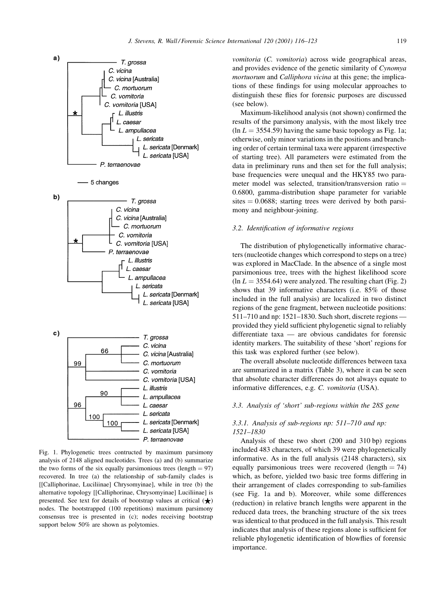





Fig. 1. Phylogenetic trees contructed by maximum parsimony analysis of 2148 aligned nucleotides. Trees (a) and (b) summarize the two forms of the six equally parsimonious trees (length  $= 97$ ) recovered. In tree (a) the relationship of sub-family clades is [[Calliphorinae, Luciliinae] Chrysomyinae], while in tree (b) the alternative topology [[Calliphorinae, Chrysomyinae] Luciliinae] is presented. See text for details of bootstrap values at critical  $(\bigstar)$ nodes. The bootstrapped (100 repetitions) maximum parsimony consensus tree is presented in (c); nodes receiving bootstrap support below 50% are shown as polytomies.

vomitoria (C. vomitoria) across wide geographical areas, and provides evidence of the genetic similarity of Cynomya mortuorum and Calliphora vicina at this gene; the implications of these findings for using molecular approaches to distinguish these flies for forensic purposes are discussed (see below).

Maximum-likelihood analysis (not shown) confirmed the results of the parsimony analysis, with the most likely tree  $\ln L = 3554.59$ ) having the same basic topology as Fig. 1a; otherwise, only minor variations in the positions and branching order of certain terminal taxa were apparent (irrespective of starting tree). All parameters were estimated from the data in preliminary runs and then set for the full analysis; base frequencies were unequal and the HKY85 two parameter model was selected, transition/transversion ratio = 0.6800, gamma-distribution shape parameter for variable sites  $= 0.0688$ ; starting trees were derived by both parsimony and neighbour-joining.

#### 3.2. Identification of informative regions

The distribution of phylogenetically informative characters (nucleotide changes which correspond to steps on a tree) was explored in MacClade. In the absence of a single most parsimonious tree, trees with the highest likelihood score  $\ln L = 3554.64$ ) were analyzed. The resulting chart (Fig. 2) shows that 39 informative characters (i.e. 85% of those included in the full analysis) are localized in two distinct regions of the gene fragment, between nucleotide positions: 511-710 and np: 1521-1830. Such short, discrete regions provided they yield sufficient phylogenetic signal to reliably differentiate taxa - are obvious candidates for forensic identity markers. The suitability of these 'short' regions for this task was explored further (see below).

The overall absolute nucleotide differences between taxa are summarized in a matrix (Table 3), where it can be seen that absolute character differences do not always equate to informative differences, e.g. C. vomitoria (USA).

#### 3.3. Analysis of 'short' sub-regions within the 28S gene

# 3.3.1. Analysis of sub-regions np: 511-710 and np:  $1521 - 1830$

Analysis of these two short (200 and 310 bp) regions included 483 characters, of which 39 were phylogenetically informative. As in the full analysis (2148 characters), six equally parsimonious trees were recovered (length  $= 74$ ) which, as before, yielded two basic tree forms differing in their arrangement of clades corresponding to sub-families (see Fig. 1a and b). Moreover, while some differences (reduction) in relative branch lengths were apparent in the reduced data trees, the branching structure of the six trees was identical to that produced in the full analysis. This result indicates that analysis of these regions alone is sufficient for reliable phylogenetic identification of blowflies of forensic importance.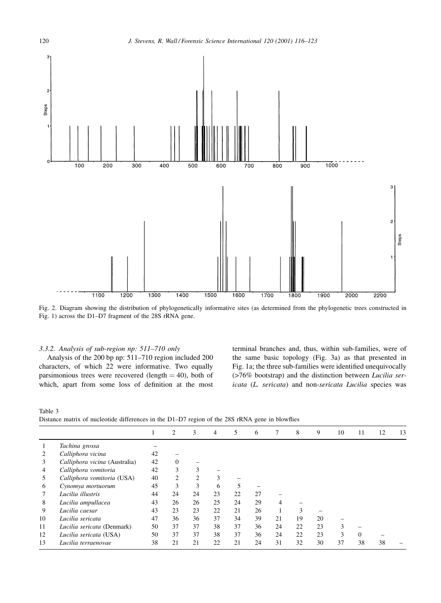

Fig. 2. Diagram showing the distribution of phylogenetically informative sites (as determined from the phylogenetic trees constructed in Fig. 1) across the D1-D7 fragment of the 28S rRNA gene.

## 3.3.2. Analysis of sub-region np: 511-710 only

Analysis of the 200 bp np: 511-710 region included 200 characters, of which 22 were informative. Two equally parsimonious trees were recovered (length  $=$  40), both of which, apart from some loss of definition at the most terminal branches and, thus, within sub-families, were of the same basic topology (Fig. 3a) as that presented in Fig. 1a; the three sub-families were identified unequivocally (>76% bootstrap) and the distinction between Lucilia sericata (L. sericata) and non-sericata Lucilia species was

Table 3

Distance matrix of nucleotide differences in the D1-D7 region of the 28S rRNA gene in blowflies

|    |                               | 1  | 2            | 3  | 4  | 5  | 6  | 7  | 8  | 9  | 10 | 11       | 12 | 13 |
|----|-------------------------------|----|--------------|----|----|----|----|----|----|----|----|----------|----|----|
|    | Tachina grossa                |    |              |    |    |    |    |    |    |    |    |          |    |    |
|    | Calliphora vicina             | 42 |              |    |    |    |    |    |    |    |    |          |    |    |
| 3  | Calliphora vicina (Australia) | 42 | $\mathbf{0}$ |    |    |    |    |    |    |    |    |          |    |    |
| 4  | Calliphora vomitoria          | 42 | 3            | 3  |    |    |    |    |    |    |    |          |    |    |
| 5  | Calliphora vomitoria (USA)    | 40 | 2            | 2  | 3  |    |    |    |    |    |    |          |    |    |
| 6  | Cynomya mortuorum             | 45 | 3            | 3  | 6  | 5  |    |    |    |    |    |          |    |    |
|    | Lucilia illustris             | 44 | 24           | 24 | 23 | 22 | 27 |    |    |    |    |          |    |    |
| 8  | Lucilia ampullacea            | 43 | 26           | 26 | 25 | 24 | 29 | 4  |    |    |    |          |    |    |
| 9  | Lucilia caesar                | 43 | 23           | 23 | 22 | 21 | 26 |    | 3  |    |    |          |    |    |
| 10 | Lucilia sericata              | 47 | 36           | 36 | 37 | 34 | 39 | 21 | 19 | 20 |    |          |    |    |
| 11 | Lucilia sericata (Denmark)    | 50 | 37           | 37 | 38 | 37 | 36 | 24 | 22 | 23 | 3  |          |    |    |
| 12 | Lucilia sericata (USA)        | 50 | 37           | 37 | 38 | 37 | 36 | 24 | 22 | 23 | 3  | $\Omega$ |    |    |
| 13 | Lucilia terraenovae           | 38 | 21           | 21 | 22 | 21 | 24 | 31 | 32 | 30 | 37 | 38       | 38 |    |
|    |                               |    |              |    |    |    |    |    |    |    |    |          |    |    |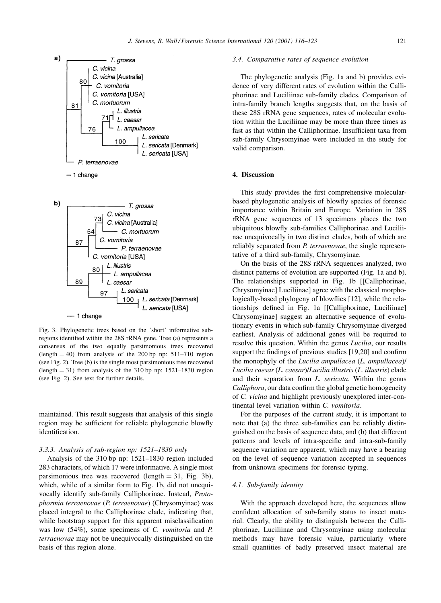



Fig. 3. Phylogenetic trees based on the 'short' informative subregions identified within the 28S rRNA gene. Tree (a) represents a consensus of the two equally parsimonious trees recovered  $(length = 40)$  from analysis of the 200 bp np: 511–710 region (see Fig. 2). Tree (b) is the single most parsimonious tree recovered  $(length = 31)$  from analysis of the 310 bp np: 1521-1830 region (see Fig. 2). See text for further details.

maintained. This result suggests that analysis of this single region may be sufficient for reliable phylogenetic blowfly identification.

#### 3.3.3. Analysis of sub-region np: 1521-1830 only

Analysis of the 310 bp np: 1521-1830 region included 283 characters, of which 17 were informative. A single most parsimonious tree was recovered (length  $= 31$ , Fig. 3b), which, while of a similar form to Fig. 1b, did not unequivocally identify sub-family Calliphorinae. Instead, Protophormia terraenovae (P. terraenovae) (Chrysomyinae) was placed integral to the Calliphorinae clade, indicating that, while bootstrap support for this apparent misclassification was low  $(54\%)$ , some specimens of C. vomitoria and P. terraenovae may not be unequivocally distinguished on the basis of this region alone.

### 3.4. Comparative rates of sequence evolution

The phylogenetic analysis (Fig. 1a and b) provides evidence of very different rates of evolution within the Calliphorinae and Luciliinae sub-family clades. Comparison of intra-family branch lengths suggests that, on the basis of these 28S rRNA gene sequences, rates of molecular evolution within the Luciliinae may be more than three times as fast as that within the Calliphorinae. Insufficient taxa from sub-family Chrysomyinae were included in the study for valid comparison.

## 4. Discussion

This study provides the first comprehensive molecularbased phylogenetic analysis of blowfly species of forensic importance within Britain and Europe. Variation in 28S rRNA gene sequences of 13 specimens places the two ubiquitous blowfly sub-families Calliphorinae and Luciliinae unequivocally in two distinct clades, both of which are reliably separated from *P. terraenovae*, the single representative of a third sub-family, Chrysomyinae.

On the basis of the 28S rRNA sequences analyzed, two distinct patterns of evolution are supported (Fig. 1a and b). The relationships supported in Fig. 1b [[Calliphorinae, Chrysomyinae] Luciliinae] agree with the classical morphologically-based phylogeny of blowflies [12], while the relationships defined in Fig. 1a [[Calliphorinae, Luciliinae] Chrysomyinae] suggest an alternative sequence of evolutionary events in which sub-family Chrysomyinae diverged earliest. Analysis of additional genes will be required to resolve this question. Within the genus *Lucilia*, our results support the findings of previous studies [19,20] and confirm the monophyly of the Lucilia ampullacea (L. ampullacea)/ Lucilia caesar (L. caesar)/Lucilia illustris (L. illustris) clade and their separation from L. sericata. Within the genus Calliphora, our data confirm the global genetic homogeneity of C. vicina and highlight previously unexplored inter-continental level variation within C. vomitoria.

For the purposes of the current study, it is important to note that (a) the three sub-families can be reliably distinguished on the basis of sequence data, and (b) that different patterns and levels of intra-specific and intra-sub-family sequence variation are apparent, which may have a bearing on the level of sequence variation accepted in sequences from unknown specimens for forensic typing.

#### 4.1. Sub-family identity

With the approach developed here, the sequences allow confident allocation of sub-family status to insect material. Clearly, the ability to distinguish between the Calliphorinae, Luciliinae and Chrysomyinae using molecular methods may have forensic value, particularly where small quantities of badly preserved insect material are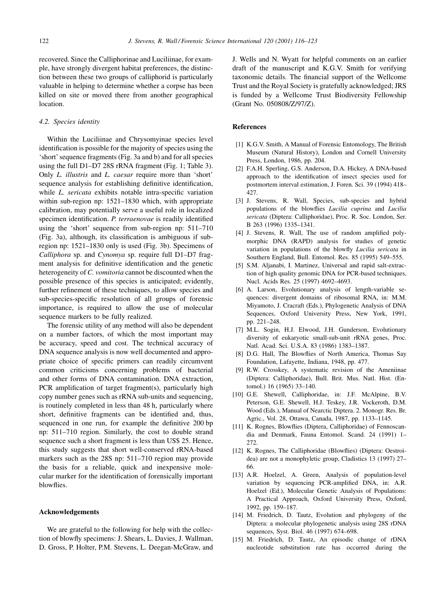recovered. Since the Calliphorinae and Luciliinae, for example, have strongly divergent habitat preferences, the distinction between these two groups of calliphorid is particularly valuable in helping to determine whether a corpse has been killed on site or moved there from another geographical location.

#### 4.2. Species identity

Within the Luciliinae and Chrysomyinae species level identification is possible for the majority of species using the 'short' sequence fragments (Fig. 3a and b) and for all species using the full D1-D7 28S rRNA fragment (Fig. 1; Table 3). Only L. illustris and L. caesar require more than 'short' sequence analysis for establishing definitive identification, while L. sericata exhibits notable intra-specific variation within sub-region np: 1521–1830 which, with appropriate calibration, may potentially serve a useful role in localized specimen identification. P. terraenovae is readily identified using the 'short' sequence from sub-region np: 511-710 (Fig. 3a), although, its classification is ambiguous if subregion np: 1521–1830 only is used (Fig. 3b). Specimens of Calliphora sp. and Cynomya sp. require full D1-D7 fragment analysis for definitive identification and the genetic heterogeneity of C. vomitoria cannot be discounted when the possible presence of this species is anticipated; evidently, further refinement of these techniques, to allow species and sub-species-specific resolution of all groups of forensic importance, is required to allow the use of molecular sequence markers to be fully realized.

The forensic utility of any method will also be dependent on a number factors, of which the most important may be accuracy, speed and cost. The technical accuracy of DNA sequence analysis is now well documented and appropriate choice of specific primers can readily circumvent common criticisms concerning problems of bacterial and other forms of DNA contamination. DNA extraction, PCR amplification of target fragment(s), particularly high copy number genes such as rRNA sub-units and sequencing, is routinely completed in less than 48 h, particularly where short, definitive fragments can be identified and, thus, sequenced in one run, for example the definitive 200 bp np: 511-710 region. Similarly, the cost to double strand sequence such a short fragment is less than US\$ 25. Hence, this study suggests that short well-conserved rRNA-based markers such as the 28S np: 511-710 region may provide the basis for a reliable, quick and inexpensive molecular marker for the identification of forensically important blowflies.

#### Acknowledgements

We are grateful to the following for help with the collection of blowfly specimens: J. Shears, L. Davies, J. Wallman, D. Gross, P. Holter, P.M. Stevens, L. Deegan-McGraw, and J. Wells and N. Wyatt for helpful comments on an earlier draft of the manuscript and K.G.V. Smith for verifying taxonomic details. The financial support of the Wellcome Trust and the Royal Society is gratefully acknowledged; JRS is funded by a Wellcome Trust Biodiversity Fellowship (Grant No. 050808/Z/97/Z).

# **References**

- [1] K.G.V. Smith, A Manual of Forensic Entomology, The British Museum (Natural History), London and Cornell University Press, London, 1986, pp. 204.
- [2] F.A.H. Sperling, G.S. Anderson, D.A. Hickey, A DNA-based approach to the identification of insect species used for postmortem interval estimation, J. Foren. Sci. 39 (1994) 418-427
- [3] J. Stevens, R. Wall, Species, sub-species and hybrid populations of the blowflies Lucilia cuprina and Lucilia sericata (Diptera: Calliphoridae), Proc. R. Soc. London, Ser. B 263 (1996) 1335-1341.
- [4] J. Stevens, R. Wall, The use of random amplified polymorphic DNA (RAPD) analysis for studies of genetic variation in populations of the blowfly *Lucilia sericata* in Southern England, Bull. Entomol. Res. 85 (1995) 549-555.
- [5] S.M. Aljanabi, I. Martinez, Universal and rapid salt-extraction of high quality genomic DNA for PCR-based techniques, Nucl. Acids Res. 25 (1997) 4692-4693.
- [6] A. Larson, Evolutionary analysis of length-variable sequences: divergent domains of ribosomal RNA, in: M.M. Miyamoto, J. Cracraft (Eds.), Phylogenetic Analysis of DNA Sequences, Oxford University Press, New York, 1991, pp. 221-248.
- [7] M.L. Sogin, H.J. Elwood, J.H. Gunderson, Evolutionary diversity of eukaryotic small-sub-unit rRNA genes, Proc. Natl. Acad. Sci. U.S.A. 83 (1986) 1383-1387.
- [8] D.G. Hall, The Blowflies of North America, Thomas Say Foundation, Lafayette, Indiana, 1948, pp. 477.
- [9] R.W. Crosskey, A systematic revision of the Ameniinae (Diptera: Calliphoridae), Bull. Brit. Mus. Natl. Hist. (Entomol.) 16 (1965) 33-140.
- [10] G.E. Shewell, Calliphoridae, in: J.F. McAlpine, B.V. Peterson, G.E. Shewell, H.J. Teskey, J.R. Vockeroth, D.M. Wood (Eds.), Manual of Nearctic Diptera. 2. Monogr. Res. Br. Agric., Vol. 28, Ottawa, Canada, 1987, pp. 1133-1145.
- [11] K. Rognes, Blowflies (Diptera, Calliphoridae) of Fennoscandia and Denmark, Fauna Entomol. Scand. 24 (1991) 1- $272$
- [12] K. Rognes, The Calliphoridae (Blowflies) (Diptera: Oestroidea) are not a monophyletic group, Cladistics 13 (1997) 27-66.
- [13] A.R. Hoelzel, A. Green, Analysis of population-level variation by sequencing PCR-amplified DNA, in: A.R. Hoelzel (Ed.), Molecular Genetic Analysis of Populations: A Practical Approach, Oxford University Press, Oxford, 1992, pp. 159-187.
- [14] M. Friedrich, D. Tautz, Evolution and phylogeny of the Diptera: a molecular phylogenetic analysis using 28S rDNA sequences, Syst. Biol. 46 (1997) 674-698.
- [15] M. Friedrich, D. Tautz, An episodic change of rDNA nucleotide substitution rate has occurred during the